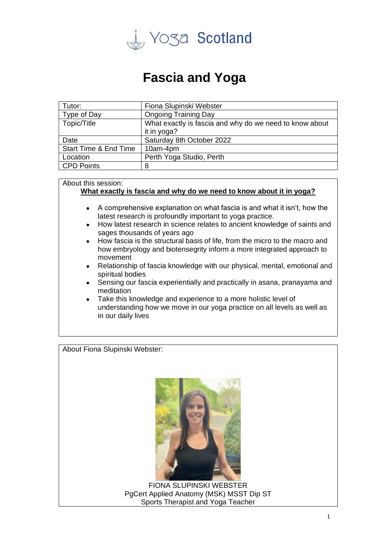

## **Fascia and Yoga**

| Tutor:                           | Fiona Slupinski Webster                                 |
|----------------------------------|---------------------------------------------------------|
| Type of Day                      | <b>Ongoing Training Day</b>                             |
| Topic/Title                      | What exactly is fascia and why do we need to know about |
|                                  | it in yoga?                                             |
| Date                             | Saturday 8th October 2022                               |
| <b>Start Time &amp; End Time</b> | 10am-4pm                                                |
| Location                         | Perth Yoga Studio, Perth                                |
| <b>CPD Points</b>                | 8                                                       |

## About this session:

## **What exactly is fascia and why do we need to know about it in yoga?**

- A comprehensive explanation on what fascia is and what it isn't, how the latest research is profoundly important to yoga practice.
- How latest research in science relates to ancient knowledge of saints and sages thousands of years ago
- How fascia is the structural basis of life, from the micro to the macro and how embryology and biotensegrity inform a more integrated approach to movement
- Relationship of fascia knowledge with our physical, mental, emotional and spiritual bodies
- Sensing our fascia experientially and practically in asana, pranayama and meditation
- Take this knowledge and experience to a more holistic level of understanding how we move in our yoga practice on all levels as well as in our daily lives

About Fiona Slupinski Webster:



FIONA SLUPINSKI WEBSTER PgCert Applied Anatomy (MSK) MSST Dip ST Sports Therapist and Yoga Teacher